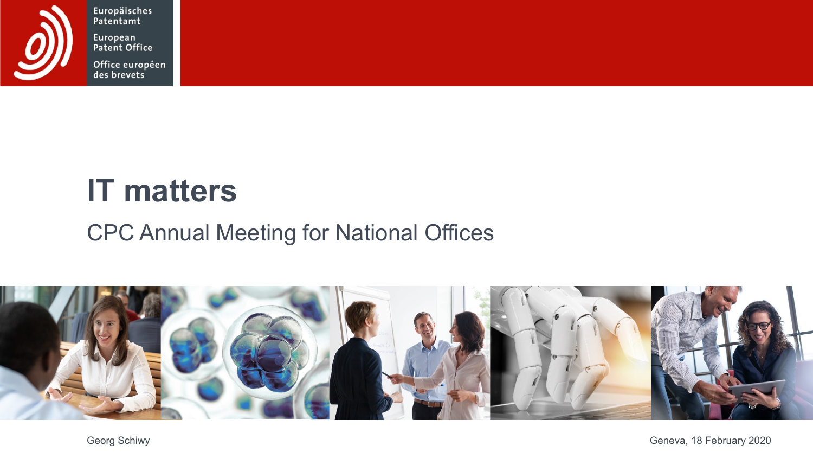

Europäisches<br>Patentamt European<br>Patent Office

Office européen<br>des brevets

# **IT matters**

#### CPC Annual Meeting for National Offices



Georg Schiwy Geneva, 18 February 2020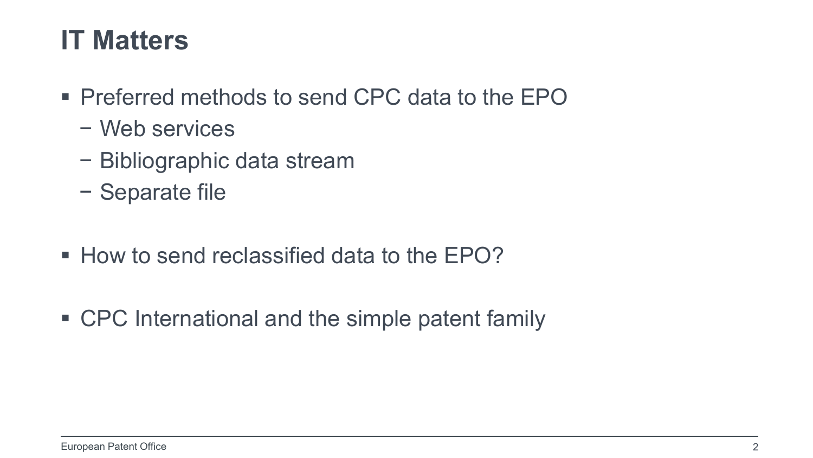#### **IT Matters**

- **Preferred methods to send CPC data to the EPO** 
	- − Web services
	- − Bibliographic data stream
	- − Separate file
- How to send reclassified data to the EPO?
- CPC International and the simple patent family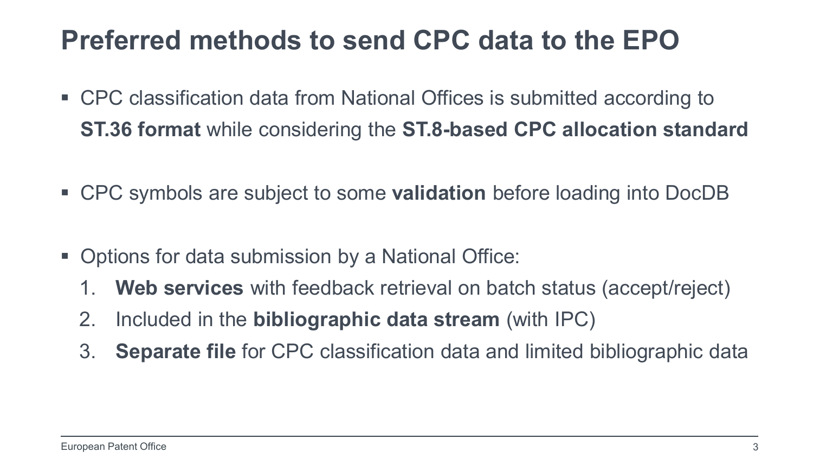#### **Preferred methods to send CPC data to the EPO**

- CPC classification data from National Offices is submitted according to **ST.36 format** while considering the **ST.8-based CPC allocation standard**
- CPC symbols are subject to some **validation** before loading into DocDB
- Options for data submission by a National Office:
	- 1. **Web services** with feedback retrieval on batch status (accept/reject)
	- 2. Included in the **bibliographic data stream** (with IPC)
	- 3. **Separate file** for CPC classification data and limited bibliographic data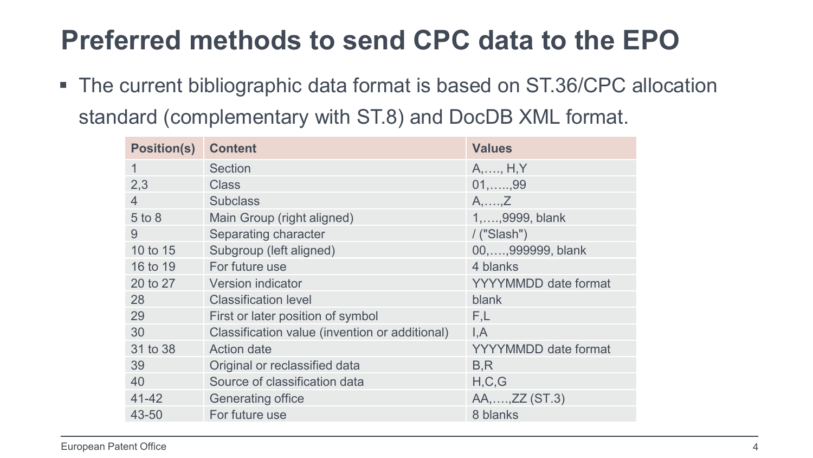### **Preferred methods to send CPC data to the EPO**

■ The current bibliographic data format is based on ST.36/CPC allocation standard (complementary with ST.8) and DocDB XML format.

| <b>Position(s)</b> | <b>Content</b>                                 | <b>Values</b>               |
|--------------------|------------------------------------------------|-----------------------------|
| 1                  | Section                                        | $A, \ldots, H, Y$           |
| 2,3                | <b>Class</b>                                   | $01, \ldots, 99$            |
| 4                  | <b>Subclass</b>                                | $A, \ldots, Z$              |
| $5$ to $8$         | Main Group (right aligned)                     | 1,  ., 9999, blank          |
| 9                  | Separating character                           | $/$ ("Slash")               |
| 10 to 15           | Subgroup (left aligned)                        | 00,,999999, blank           |
| 16 to 19           | For future use                                 | 4 blanks                    |
| 20 to 27           | Version indicator                              | <b>YYYYMMDD</b> date format |
| 28                 | <b>Classification level</b>                    | blank                       |
| 29                 | First or later position of symbol              | F,L                         |
| 30                 | Classification value (invention or additional) | I, A                        |
| 31 to 38           | <b>Action date</b>                             | <b>YYYYMMDD</b> date format |
| 39                 | Original or reclassified data                  | B, R                        |
| 40                 | Source of classification data                  | H, C, G                     |
| 41-42              | Generating office                              | AA,,ZZ (ST.3)               |
| 43-50              | For future use                                 | 8 blanks                    |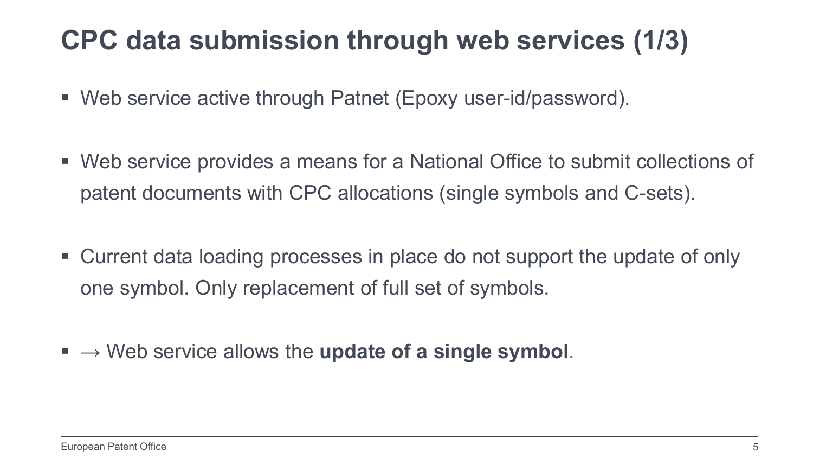#### **CPC data submission through web services (1/3)**

- Web service active through Patnet (Epoxy user-id/password).
- Web service provides a means for a National Office to submit collections of patent documents with CPC allocations (single symbols and C-sets).
- Current data loading processes in place do not support the update of only one symbol. Only replacement of full set of symbols.
- $\blacksquare \rightarrow$  Web service allows the **update of a single symbol**.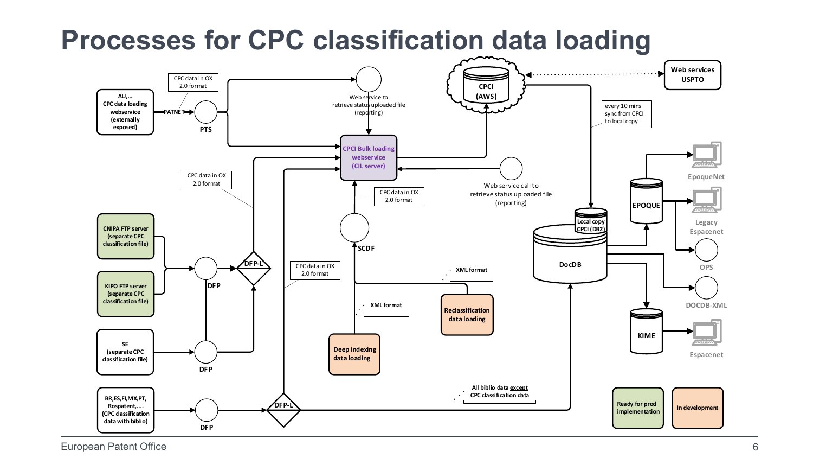

#### **Processes for CPC classification data loading**

European Patent Office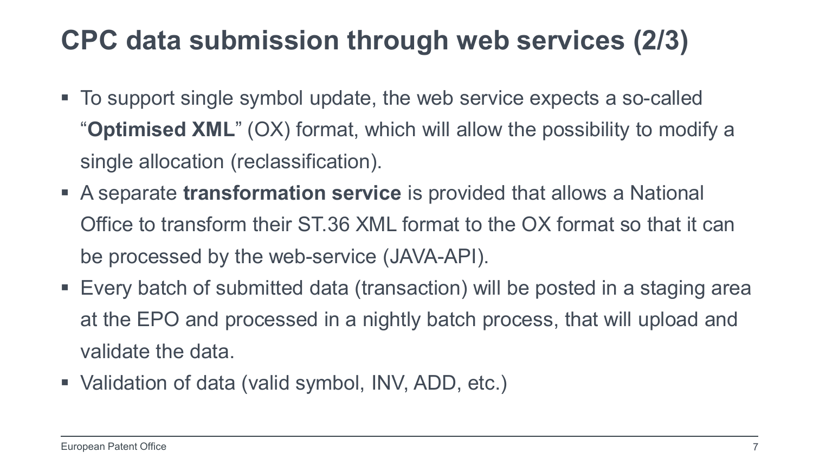#### **CPC data submission through web services (2/3)**

- To support single symbol update, the web service expects a so-called "**Optimised XML**" (OX) format, which will allow the possibility to modify a single allocation (reclassification).
- A separate **transformation service** is provided that allows a National Office to transform their ST.36 XML format to the OX format so that it can be processed by the web-service (JAVA-API).
- Every batch of submitted data (transaction) will be posted in a staging area at the EPO and processed in a nightly batch process, that will upload and validate the data.
- Validation of data (valid symbol, INV, ADD, etc.)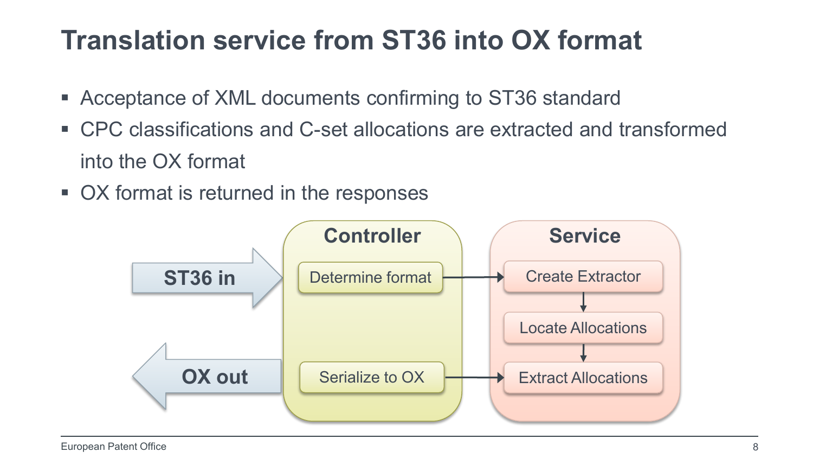### **Translation service from ST36 into OX format**

- Acceptance of XML documents confirming to ST36 standard
- CPC classifications and C-set allocations are extracted and transformed into the OX format
- OX format is returned in the responses

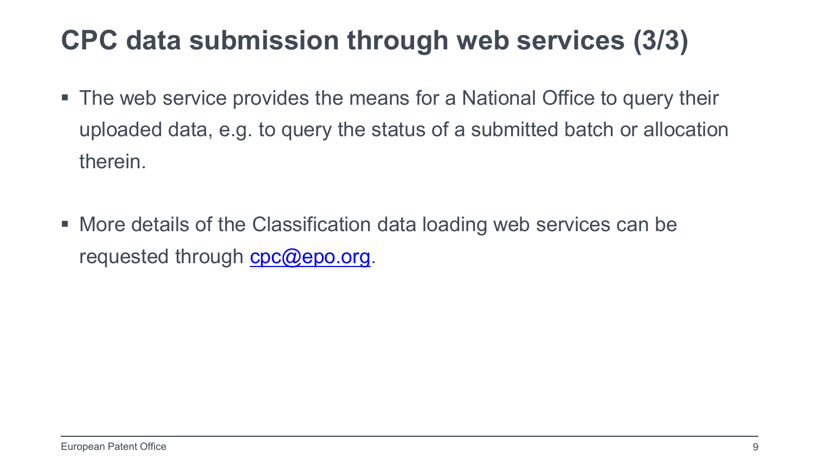#### **CPC data submission through web services (3/3)**

- The web service provides the means for a National Office to query their uploaded data, e.g. to query the status of a submitted batch or allocation therein.
- More details of the Classification data loading web services can be requested through  $cpc@epo.org$ .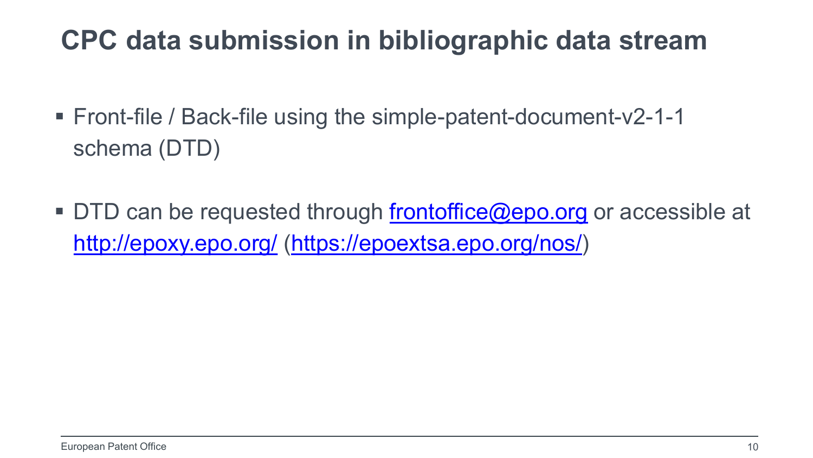#### **CPC data submission in bibliographic data stream**

- Front-file / Back-file using the simple-patent-document-v2-1-1 schema (DTD)
- DTD can be requested through [frontoffice@epo.org](mailto:frontoffice@epo.org) or accessible at <http://epoxy.epo.org/> ([https://epoextsa.epo.org/nos/\)](https://epoextsa.epo.org/nos/)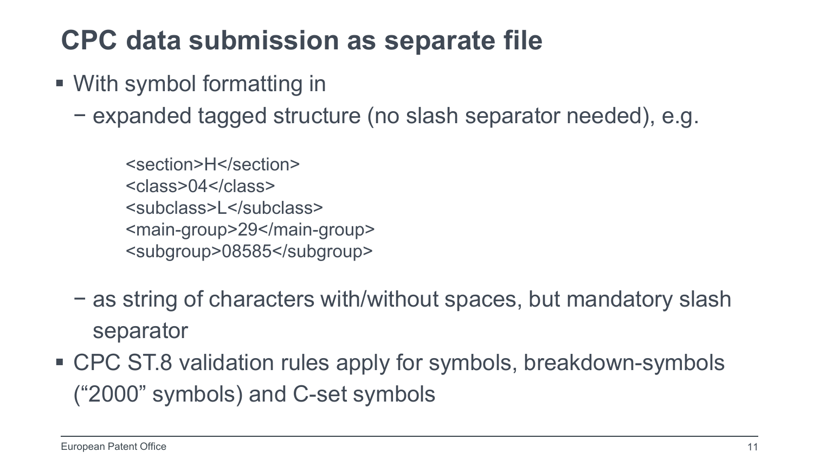#### **CPC data submission as separate file**

- With symbol formatting in
	- − expanded tagged structure (no slash separator needed), e.g.

<section>H</section> <class>04</class> <subclass>L</subclass> <main-group>29</main-group> <subgroup>08585</subgroup>

- − as string of characters with/without spaces, but mandatory slash separator
- CPC ST.8 validation rules apply for symbols, breakdown-symbols ("2000" symbols) and C-set symbols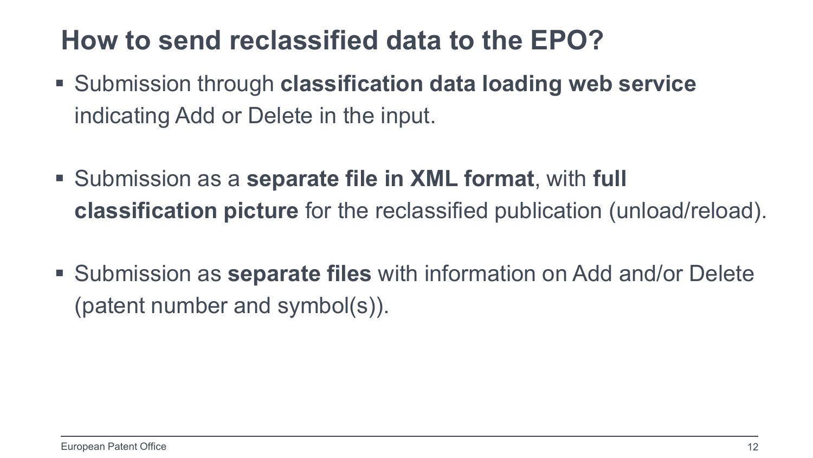#### **How to send reclassified data to the EPO?**

- Submission through **classification data loading web service** indicating Add or Delete in the input.
- Submission as a **separate file in XML format**, with **full classification picture** for the reclassified publication (unload/reload).
- Submission as **separate files** with information on Add and/or Delete (patent number and symbol(s)).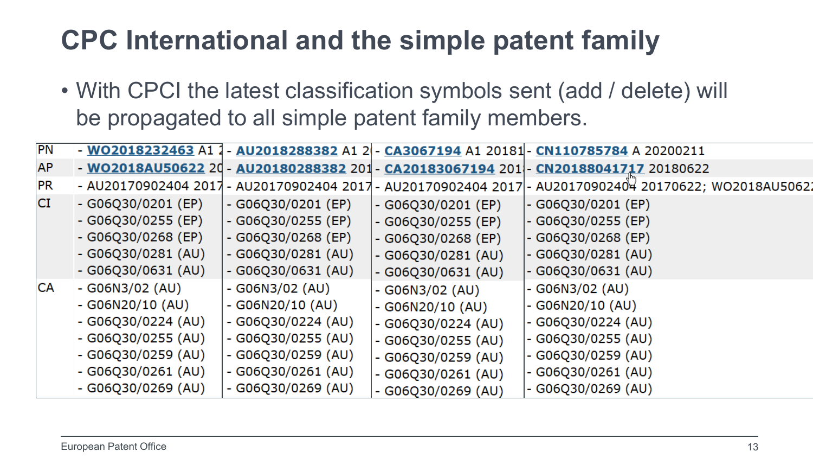## **CPC International and the simple patent family**

• With CPCI the latest classification symbols sent (add / delete) will be propagated to all simple patent family members.

| PN<br>- WO2018232463 A1 1 - AU2018288382 A1 2 - CA3067194 A1 20181 - CN110785784 A 20200211<br><b>AP</b><br>- WO2018AU50622 20 - AU20180288382 201 - CA20183067194 201 - CN20188041717 20180622<br> PR <br>- AU20170902404 2017 - AU20170902404 2017 - AU20170902404 2017 - AU20170902404 20170622; WO2018AU5062<br><b>CI</b><br>$-G06Q30/0201$ (EP)<br>$-G06Q30/0201$ (EP)<br>$-G06Q30/0201$ (EP)<br>$-G06Q30/0201$ (EP)<br>$-G06Q30/0255$ (EP)<br>$-G06Q30/0255$ (EP)<br>$-G06Q30/0255$ (EP)<br>$-G06Q30/0255$ (EP)<br>$-G06Q30/0268$ (EP)<br>$-G06Q30/0268$ (EP)<br>$-G06Q30/0268$ (EP)<br>$-G06Q30/0268$ (EP)<br>$-G06Q30/0281$ (AU)<br>$-G06Q30/0281$ (AU)<br>$-G06Q30/0281$ (AU)<br>$-G06Q30/0281$ (AU)<br>$-G06Q30/0631 (AU)$<br>$-G06Q30/0631 (AU)$<br>$-G06Q30/0631 (AU)$<br>$-G06Q30/0631 (AU)$<br><b>CA</b><br>$-G06N3/02$ (AU)<br>- $GO6N3/O2 (AU)$<br>$-G06N3/02 (AU)$<br>$-G06N3/02$ (AU)<br>$-G06N20/10 (AU)$<br>$-G06N20/10 (AU)$<br>$-G06N20/10 (AU)$<br>$-G06N20/10 (AU)$<br>$-G06Q30/0224 (AU)$<br>$-G06Q30/0224 (AU)$<br>$-G06Q30/0224 (AU)$<br>$-G06Q30/0224 (AU)$<br>$-G06Q30/0255 (AU)$<br>$-G06Q30/0255 (AU)$<br>$-G06Q30/0255 (AU)$<br>$-G06Q30/0255 (AU)$<br>$-G06Q30/0259 (AU)$<br>$-G06Q30/0259$ (AU)<br>$-G06Q30/0259 (AU)$<br>$-G06Q30/0259 (AU)$<br>$-G06Q30/0261 (AU)$<br>$-G06Q30/0261$ (AU)<br>$-G06Q30/0261$ (AU)<br>$-G06Q30/0261$ (AU)<br>$-G06Q30/0269 (AU)$<br>$-G06Q30/0269$ (AU)<br>$-$ G06Q30/0269 (AU)<br>$-G06Q30/0269$ (AU) |  |  |  |
|--------------------------------------------------------------------------------------------------------------------------------------------------------------------------------------------------------------------------------------------------------------------------------------------------------------------------------------------------------------------------------------------------------------------------------------------------------------------------------------------------------------------------------------------------------------------------------------------------------------------------------------------------------------------------------------------------------------------------------------------------------------------------------------------------------------------------------------------------------------------------------------------------------------------------------------------------------------------------------------------------------------------------------------------------------------------------------------------------------------------------------------------------------------------------------------------------------------------------------------------------------------------------------------------------------------------------------------------------------------------------------------------------------------------------------------------------------------------------|--|--|--|
|                                                                                                                                                                                                                                                                                                                                                                                                                                                                                                                                                                                                                                                                                                                                                                                                                                                                                                                                                                                                                                                                                                                                                                                                                                                                                                                                                                                                                                                                          |  |  |  |
|                                                                                                                                                                                                                                                                                                                                                                                                                                                                                                                                                                                                                                                                                                                                                                                                                                                                                                                                                                                                                                                                                                                                                                                                                                                                                                                                                                                                                                                                          |  |  |  |
|                                                                                                                                                                                                                                                                                                                                                                                                                                                                                                                                                                                                                                                                                                                                                                                                                                                                                                                                                                                                                                                                                                                                                                                                                                                                                                                                                                                                                                                                          |  |  |  |
|                                                                                                                                                                                                                                                                                                                                                                                                                                                                                                                                                                                                                                                                                                                                                                                                                                                                                                                                                                                                                                                                                                                                                                                                                                                                                                                                                                                                                                                                          |  |  |  |
|                                                                                                                                                                                                                                                                                                                                                                                                                                                                                                                                                                                                                                                                                                                                                                                                                                                                                                                                                                                                                                                                                                                                                                                                                                                                                                                                                                                                                                                                          |  |  |  |
|                                                                                                                                                                                                                                                                                                                                                                                                                                                                                                                                                                                                                                                                                                                                                                                                                                                                                                                                                                                                                                                                                                                                                                                                                                                                                                                                                                                                                                                                          |  |  |  |
|                                                                                                                                                                                                                                                                                                                                                                                                                                                                                                                                                                                                                                                                                                                                                                                                                                                                                                                                                                                                                                                                                                                                                                                                                                                                                                                                                                                                                                                                          |  |  |  |
|                                                                                                                                                                                                                                                                                                                                                                                                                                                                                                                                                                                                                                                                                                                                                                                                                                                                                                                                                                                                                                                                                                                                                                                                                                                                                                                                                                                                                                                                          |  |  |  |
|                                                                                                                                                                                                                                                                                                                                                                                                                                                                                                                                                                                                                                                                                                                                                                                                                                                                                                                                                                                                                                                                                                                                                                                                                                                                                                                                                                                                                                                                          |  |  |  |
|                                                                                                                                                                                                                                                                                                                                                                                                                                                                                                                                                                                                                                                                                                                                                                                                                                                                                                                                                                                                                                                                                                                                                                                                                                                                                                                                                                                                                                                                          |  |  |  |
|                                                                                                                                                                                                                                                                                                                                                                                                                                                                                                                                                                                                                                                                                                                                                                                                                                                                                                                                                                                                                                                                                                                                                                                                                                                                                                                                                                                                                                                                          |  |  |  |
|                                                                                                                                                                                                                                                                                                                                                                                                                                                                                                                                                                                                                                                                                                                                                                                                                                                                                                                                                                                                                                                                                                                                                                                                                                                                                                                                                                                                                                                                          |  |  |  |
|                                                                                                                                                                                                                                                                                                                                                                                                                                                                                                                                                                                                                                                                                                                                                                                                                                                                                                                                                                                                                                                                                                                                                                                                                                                                                                                                                                                                                                                                          |  |  |  |
|                                                                                                                                                                                                                                                                                                                                                                                                                                                                                                                                                                                                                                                                                                                                                                                                                                                                                                                                                                                                                                                                                                                                                                                                                                                                                                                                                                                                                                                                          |  |  |  |
|                                                                                                                                                                                                                                                                                                                                                                                                                                                                                                                                                                                                                                                                                                                                                                                                                                                                                                                                                                                                                                                                                                                                                                                                                                                                                                                                                                                                                                                                          |  |  |  |